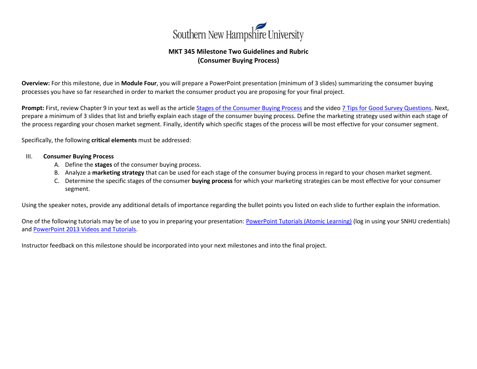

## **MKT 345 Milestone Two Guidelines and Rubric (Consumer Buying Process)**

**Overview:** For this milestone, due in **Module Four**, you will prepare a PowerPoint presentation (minimum of 3 slides) summarizing the consumer buying processes you have so far researched in order to market the consumer product you are proposing for your final project.

**Prompt:** First, review Chapter 9 in your text as well as the article [Stages of the Consumer Buying Process](https://toughnickel.com/starting-business/Stages-of-the-Consumer-Buying-Process) and the vide[o 7 Tips for Good Survey Questions.](https://www.youtube.com/watch?v=Iq_fhTuY1hw) Next, prepare a minimum of 3 slides that list and briefly explain each stage of the consumer buying process. Define the marketing strategy used within each stage of the process regarding your chosen market segment. Finally, identify which specific stages of the process will be most effective for your consumer segment.

Specifically, the following **critical elements** must be addressed:

- III. **Consumer Buying Process** 
	- A. Define the **stages** of the consumer buying process.
	- B. Analyze a **marketing strategy** that can be used for each stage of the consumer buying process in regard to your chosen market segment.
	- C. Determine the specific stages of the consumer **buying process** for which your marketing strategies can be most effective for your consumer segment.

Using the speaker notes, provide any additional details of importance regarding the bullet points you listed on each slide to further explain the information.

One of the following tutorials may be of use to you in preparing your presentation: [PowerPoint Tutorials \(Atomic Learning\)](http://www.atomiclearning.com/highed/home?q=Powerpoint&selected_topics=All+topics&selected_categories=) (log in using your SNHU credentials) and [PowerPoint 2013 Videos and Tutorials.](https://support.office.com/en-us/article/PowerPoint-2013-videos-and-tutorials-bd93efc0-3582-49d1-b952-3871cde07d8a?ui=en-US&rs=en-US&ad=US)

Instructor feedback on this milestone should be incorporated into your next milestones and into the final project.